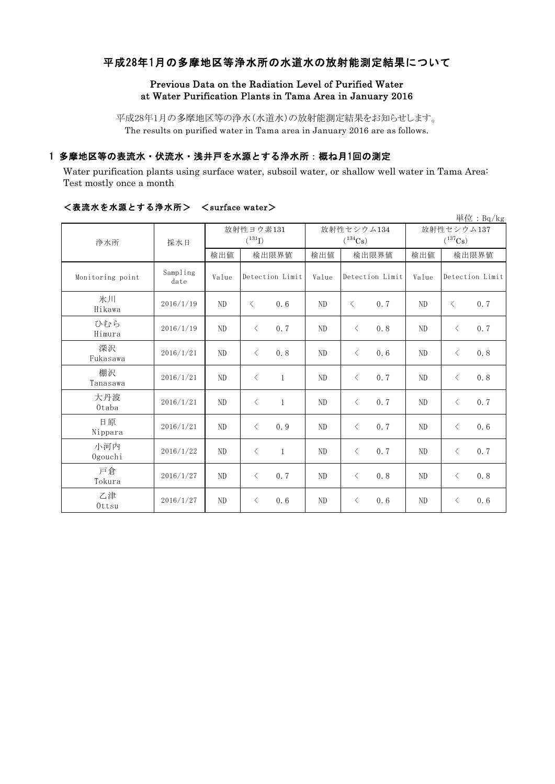# 平成28年1月の多摩地区等浄水所の水道水の放射能測定結果について

# Previous Data on the Radiation Level of Purified Water at Water Purification Plants in Tama Area in January 2016

平成28年1月の多摩地区等の浄水(水道水)の放射能測定結果をお知らせします。 The results on purified water in Tama area in January 2016 are as follows.

# 1 多摩地区等の表流水・伏流水・浅井戸を水源とする浄水所:概ね月1回の測定

Water purification plants using surface water, subsoil water, or shallow well water in Tama Area: Test mostly once a month

|                  |                  |                                   |                 |              |                                     |                 |     |                                     |                 | 単位: Bq/kg |
|------------------|------------------|-----------------------------------|-----------------|--------------|-------------------------------------|-----------------|-----|-------------------------------------|-----------------|-----------|
| 浄水所              | 採水日              | 放射性ヨウ素131<br>$(^{131}\mathrm{I})$ |                 |              | 放射性セシウム134<br>$(^{134}\mathrm{Cs})$ |                 |     | 放射性セシウム137<br>$(^{137}\mathrm{Cs})$ |                 |           |
|                  |                  | 検出値                               | 検出限界値           |              | 検出値                                 | 検出限界値           |     | 検出値                                 | 検出限界値           |           |
| Monitoring point | Sampling<br>date | Value                             | Detection Limit |              | Value                               | Detection Limit |     | Value                               | Detection Limit |           |
| 氷川<br>Hikawa     | 2016/1/19        | N <sub>D</sub>                    | $\langle$       | 0.6          | ND                                  | $\langle$       | 0.7 | N <sub>D</sub>                      | $\langle$       | 0.7       |
| ひむら<br>Himura    | 2016/1/19        | ND                                | $\langle$       | 0.7          | ND                                  | $\lt$           | 0.8 | ND                                  | $\langle$       | 0.7       |
| 深沢<br>Fukasawa   | 2016/1/21        | N <sub>D</sub>                    | $\langle$       | 0.8          | ND                                  | $\lt$           | 0.6 | ND                                  | $\langle$       | 0.8       |
| 棚沢<br>Tanasawa   | 2016/1/21        | N <sub>D</sub>                    | $\lt$           | $\mathbf{1}$ | ND                                  | $\lt$           | 0.7 | N <sub>D</sub>                      | $\langle$       | 0.8       |
| 大丹波<br>Otaba     | 2016/1/21        | ND                                | $\langle$       | $\mathbf{1}$ | ND                                  | $\lt$           | 0.7 | N <sub>D</sub>                      | $\langle$       | 0.7       |
| 日原<br>Nippara    | 2016/1/21        | N <sub>D</sub>                    | $\langle$       | 0.9          | ND                                  | $\langle$       | 0.7 | N <sub>D</sub>                      | $\langle$       | 0.6       |
| 小河内<br>Ogouchi   | 2016/1/22        | N <sub>D</sub>                    | $\lt$           | $\mathbf{1}$ | ND                                  | $\langle$       | 0.7 | ND                                  | $\langle$       | 0.7       |
| 戸倉<br>Tokura     | 2016/1/27        | ND                                | $\langle$       | 0.7          | ND.                                 | $\lt$           | 0.8 | ND                                  | $\langle$       | 0.8       |
| 乙津<br>Ottsu      | 2016/1/27        | ND                                | $\lt$           | 0.6          | ND                                  | $\lt$           | 0.6 | ND                                  | $\langle$       | 0.6       |

### <表流水を水源とする浄水所> <surface water>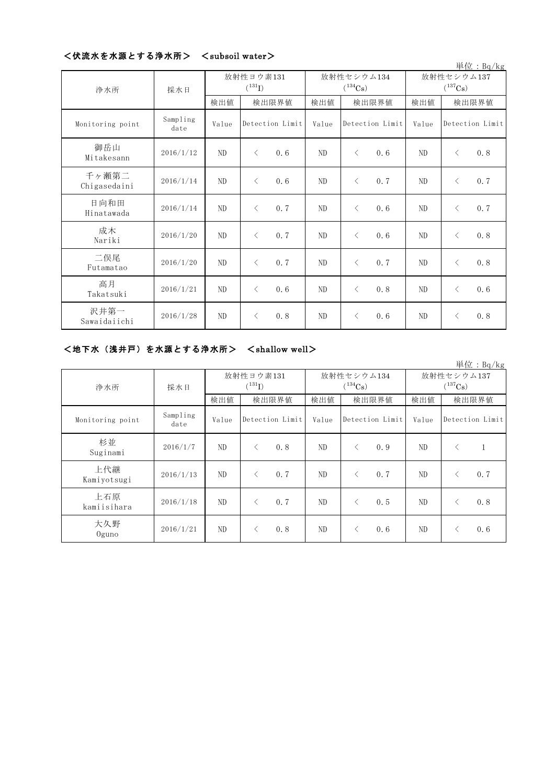# <伏流水を水源とする浄水所> <subsoil water>

|                       |                  |                          |           |                 |                            |           |                 |                                     |           | 単位: Bq/kg       |
|-----------------------|------------------|--------------------------|-----------|-----------------|----------------------------|-----------|-----------------|-------------------------------------|-----------|-----------------|
| 浄水所                   | 採水日              | 放射性ヨウ素131<br>$(^{131}I)$ |           |                 | 放射性セシウム134<br>$(^{134}Cs)$ |           |                 | 放射性セシウム137<br>$(^{137}\mathrm{Cs})$ |           |                 |
|                       |                  | 検出値                      | 検出限界値     |                 | 検出値                        | 検出限界値     |                 | 検出値                                 | 検出限界値     |                 |
| Monitoring point      | Sampling<br>date | Value                    |           | Detection Limit | Value                      |           | Detection Limit | Value                               |           | Detection Limit |
| 御岳山<br>Mitakesann     | 2016/1/12        | ND                       | $\langle$ | 0.6             | ND                         | $\langle$ | 0.6             | ND                                  | $\langle$ | 0.8             |
| 千ヶ瀬第二<br>Chigasedaini | 2016/1/14        | $\rm ND$                 | $\langle$ | 0.6             | ND                         | $\langle$ | 0.7             | N <sub>D</sub>                      | $\langle$ | 0.7             |
| 日向和田<br>Hinatawada    | 2016/1/14        | ND                       | $\langle$ | 0.7             | $\rm ND$                   | $\langle$ | 0.6             | ND                                  | $\langle$ | 0.7             |
| 成木<br>Nariki          | 2016/1/20        | ND                       | $\langle$ | 0.7             | ND                         | $\langle$ | 0.6             | ND                                  | $\langle$ | 0.8             |
| 二俣尾<br>Futamatao      | 2016/1/20        | ND                       | $\langle$ | 0.7             | ND                         | $\lt$     | 0.7             | ND                                  | $\langle$ | 0.8             |
| 高月<br>Takatsuki       | 2016/1/21        | ND                       | $\langle$ | 0.6             | ND                         | $\langle$ | 0.8             | ND                                  | $\langle$ | 0.6             |
| 沢井第一<br>Sawaidaiichi  | 2016/1/28        | ND                       | $\langle$ | 0.8             | $\rm ND$                   | $\langle$ | 0.6             | ND                                  | $\langle$ | 0.8             |

# <地下水(浅井戸)を水源とする浄水所> <shallow well>

|                    |                  |       |                          |       |                            |                            | 単位: $Bq/kg$      |  |
|--------------------|------------------|-------|--------------------------|-------|----------------------------|----------------------------|------------------|--|
| 浄水所                | 採水日              |       | 放射性ヨウ素131<br>$(^{131}I)$ |       | 放射性セシウム134<br>$(^{134}Cs)$ | 放射性セシウム137<br>$(^{137}Cs)$ |                  |  |
|                    |                  | 検出値   | 検出限界値                    | 検出値   | 検出限界値                      | 検出値                        | 検出限界値            |  |
| Monitoring point   | Sampling<br>date | Value | Detection Limit          | Value | Detection Limit            | Value                      | Detection Limit  |  |
| 杉並<br>Suginami     | 2016/1/7         | ND    | $\langle$<br>0.8         | ND.   | 0.9<br>$\lt$               | ND                         | $\langle$        |  |
| 上代継<br>Kamiyotsugi | 2016/1/13        | ND    | $\langle$<br>0.7         | ND.   | 0.7<br>$\langle$           | ND                         | 0.7<br>$\langle$ |  |
| 上石原<br>kamiisihara | 2016/1/18        | ND    | $\langle$<br>0.7         | ND    | 0.5<br>$\langle$           | ND                         | 0.8<br>$\langle$ |  |
| 大久野<br>$0$ guno    | 2016/1/21        | ND    | 0.8<br>$\langle$         | ND    | 0.6<br>$\langle$           | ND                         | 0.6<br>$\langle$ |  |